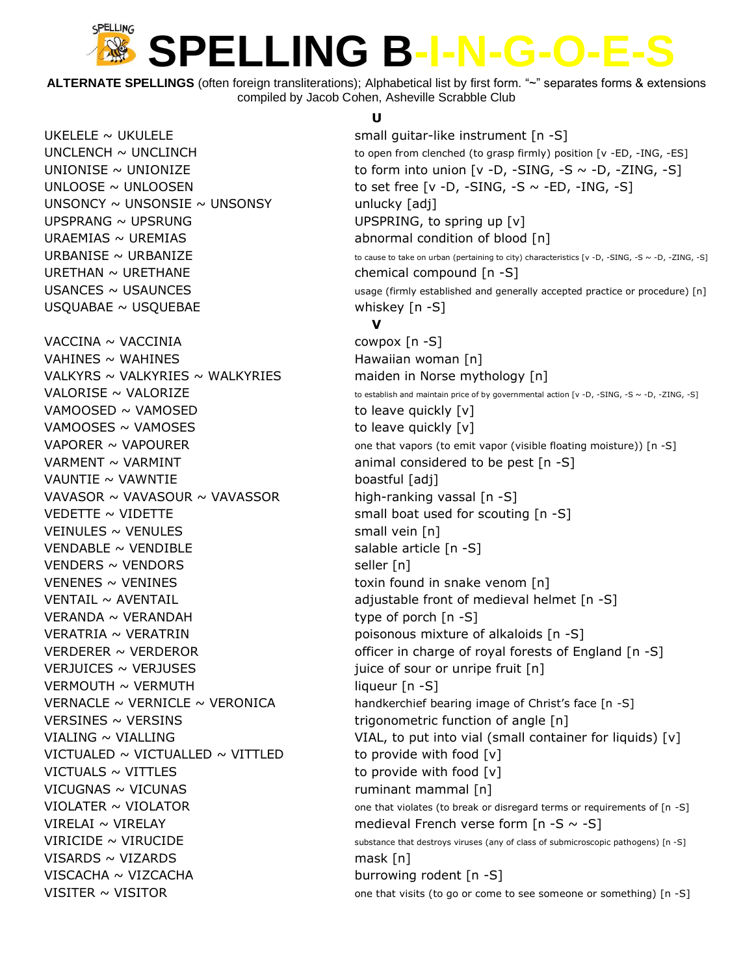## SPELLING **SPELLING B-I-N-G-O-E-S**

**ALTERNATE SPELLINGS** (often foreign transliterations); Alphabetical list by first form. "~" separates forms & extensions compiled by Jacob Cohen, Asheville Scrabble Club

 $UNSONCY \sim UNSONSIE \sim UNSONSY$  unlucky [adj] UPSPRANG  $\sim$  UPSRUNG UPSPRING, to spring up  $[v]$ URAEMIAS ~ UREMIAS density abnormal condition of blood [n]  $U$ RETHAN ~ URETHANE chemical compound  $[n - S]$ USQUABAE ~ USQUEBAE whiskey [n -S] VACCINA ~ VACCINIA cowpox [n -S]  $VAHINES \sim WAHINES$  1999 - The Mawaiian woman [n] VALKYRS  $\sim$  VALKYRIES  $\sim$  WALKYRIES maiden in Norse mythology [n] VAMOOSED  $\sim$  VAMOSED  $\sim$  vames variable to leave quickly [v] VAMOOSES  $\sim$  VAMOSES  $\sim$  VAMOSES to leave quickly [v] VARMENT  $\sim$  VARMINT animal considered to be pest  $[n -S]$  $VAUNTIE \sim VAWNTIE$  boastful [adj] VAVASOR  $\sim$  VAVASOUR  $\sim$  VAVASSOR high-ranking vassal [n -S] VEDETTE  $\sim$  VIDETTE small boat used for scouting  $[n -S]$  $V$ EINULES ~ VENULES  $\sim$  VENULES VENDABLE  $\sim$  VENDIBLE salable article [n -S] VENDERS ~ VENDORS seller [n]  $VENENES \sim VENINES$  toxin found in snake venom [n]  $VERANDA \sim VERANDAH$  type of porch  $[n -S]$  $VERATRIA \sim VERATRIN$  poisonous mixture of alkaloids [n -S] VERJUICES  $\sim$  VERJUSES in the source of sour or unripe fruit [n]  $VERMOUTH \sim VERMUTH$  liqueur [n -S] VERSINES ~ VERSINS TRIGONOMETRIC TRIGONOMETRIC FUNCTION OF ANGLE [n] VICTUALED  $\sim$  VICTUALLED  $\sim$  VITTLED to provide with food [v]  $VICTUALS \sim VITTLES$  to provide with food  $[v]$ VICUGNAS ~ VICUNAS **ruminant mammal** [n] VISARDS ~ VIZARDS mask [n] VISCACHA ~ VIZCACHA burrowing rodent [n -S]

### **U**

 $UKELELE \sim UKULELE$  small guitar-like instrument [n -S]  $UNCLENCH \sim UNCLINCH$  to open from clenched (to grasp firmly) position [v -ED, -ING, -ES] UNIONISE ~ UNIONIZE  $\sim$  UNIONIZE to form into union  $[v -D, -SING, -S \sim -D, -ZING, -S]$ UNLOOSE  $\sim$  UNLOOSEN to set free [v -D, -SING, -S  $\sim$  -ED, -ING, -S] URBANISE ~ URBANIZE  $\sim$  to cause to take on urban (pertaining to city) characteristics [v -D, -SING, -S ~ -D, -ZING, -S]  $USANCES \sim USAUNCES$  usage (firmly established and generally accepted practice or procedure) [n] **V** VALORISE  $\sim$  VALORIZE  $\sim$  to establish and maintain price of by governmental action [v -D, -SING, -S ~ -D, -ZING, -S] VAPORER  $\sim$  VAPOURER  $\sim$  100 VAPOURER one that vapors (to emit vapor (visible floating moisture)) [n -S] VENTAIL ~ AVENTAIL **AUGO CONTAIL** adjustable front of medieval helmet [n -S] VERDERER  $\sim$  VERDEROR officer in charge of royal forests of England [n -S] VERNACLE  $\sim$  VERNICLE  $\sim$  VERONICA handkerchief bearing image of Christ's face [n -S] VIALING ~ VIALLING VIAL TO VIAL, to put into vial (small container for liquids) [v] VIOLATER  $\sim$  VIOLATOR  $\sim$  0ne that violates (to break or disregard terms or requirements of [n -S] VIRELAI ~ VIRELAY medieval French verse form  $[n - S \sim -S]$ VIRICIDE  $\sim$  VIRUCIDE substance that destroys viruses (any of class of submicroscopic pathogens) [n -S] VISITER  $\sim$  VISITOR  $\sim$  VISITOR one that visits (to go or come to see someone or something) [n -S]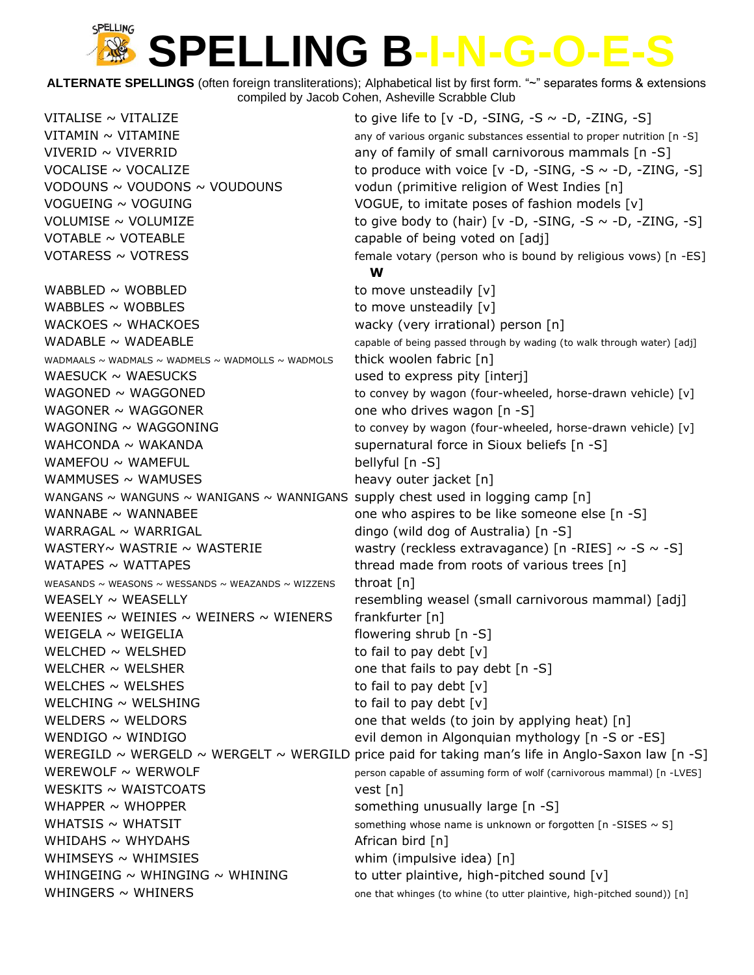#### SPELLING **SPELLING B-I-N-G-O-E-S** Ale

**ALTERNATE SPELLINGS** (often foreign transliterations); Alphabetical list by first form. "~" separates forms & extensions compiled by Jacob Cohen, Asheville Scrabble Club

| VITALISE ~ VITALIZE                                                            | to give life to [v -D, -SING, -S $\sim$ -D, -ZING, -S]                                            |
|--------------------------------------------------------------------------------|---------------------------------------------------------------------------------------------------|
| VITAMIN ~ VITAMINE                                                             | any of various organic substances essential to proper nutrition [n -S]                            |
| VIVERID $\sim$ VIVERRID                                                        | any of family of small carnivorous mammals [n -S]                                                 |
| VOCALISE $\sim$ VOCALIZE                                                       | to produce with voice $[v -D, -SING, -S \sim -D, -ZING, -S]$                                      |
| VODOUNS ~ VOUDONS ~ VOUDOUNS                                                   | vodun (primitive religion of West Indies [n]                                                      |
| VOGUEING ~ VOGUING                                                             | VOGUE, to imitate poses of fashion models [v]                                                     |
| VOLUMISE ~ VOLUMIZE                                                            | to give body to (hair) [v -D, -SING, -S $\sim$ -D, -ZING, -S]                                     |
| VOTABLE $\sim$ VOTEABLE                                                        | capable of being voted on [adj]                                                                   |
| VOTARESS $\sim$ VOTRESS                                                        | female votary (person who is bound by religious vows) [n -ES]                                     |
|                                                                                | W                                                                                                 |
| WABBLED $\sim$ WOBBLED                                                         | to move unsteadily [v]                                                                            |
| WABBLES $\sim$ WOBBLES                                                         | to move unsteadily [v]                                                                            |
| WACKOES $\sim$ WHACKOES                                                        | wacky (very irrational) person [n]                                                                |
| WADABLE $\sim$ WADEABLE                                                        | capable of being passed through by wading (to walk through water) [adj]                           |
| WADMAALS ~ WADMALS ~ WADMELS ~ WADMOLLS ~ WADMOLS                              | thick woolen fabric [n]                                                                           |
| WAESUCK $\sim$ WAESUCKS                                                        | used to express pity [interj]                                                                     |
| WAGONED $\sim$ WAGGONED                                                        | to convey by wagon (four-wheeled, horse-drawn vehicle) [v]                                        |
| WAGONER $\sim$ WAGGONER                                                        | one who drives wagon [n -S]                                                                       |
| WAGONING $\sim$ WAGGONING                                                      | to convey by wagon (four-wheeled, horse-drawn vehicle) [v]                                        |
| WAHCONDA $\sim$ WAKANDA                                                        | supernatural force in Sioux beliefs [n -S]                                                        |
| WAMEFOU $\sim$ WAMEFUL                                                         | bellyful [n -S]                                                                                   |
| WAMMUSES $\sim$ WAMUSES                                                        | heavy outer jacket [n]                                                                            |
| WANGANS ~ WANGUNS ~ WANIGANS ~ WANNIGANS supply chest used in logging camp [n] |                                                                                                   |
| WANNABE $\sim$ WANNABEE                                                        | one who aspires to be like someone else [n -S]                                                    |
| WARRAGAL $\sim$ WARRIGAL                                                       | dingo (wild dog of Australia) [n -S]                                                              |
| WASTERY~ WASTRIE ~ WASTERIE                                                    | wastry (reckless extravagance) [n -RIES] $\sim$ -S $\sim$ -S]                                     |
| WATAPES $\sim$ WATTAPES                                                        | thread made from roots of various trees [n]                                                       |
| WEASANDS ~ WEASONS ~ WESSANDS ~ WEAZANDS ~ WIZZENS                             | throat $[n]$                                                                                      |
| WEASELY $\sim$ WEASELLY                                                        | resembling weasel (small carnivorous mammal) [adj]                                                |
| WEENIES $\sim$ WEINIES $\sim$ WEINERS $\sim$ WIENERS                           | frankfurter [n]                                                                                   |
| WEIGELA $\sim$ WEIGELIA                                                        | flowering shrub [n -S]                                                                            |
| WELCHED $\sim$ WELSHED                                                         | to fail to pay debt [v]                                                                           |
| WELCHER $\sim$ WELSHER                                                         | one that fails to pay debt [n -S]                                                                 |
| WELCHES $\sim$ WELSHES                                                         | to fail to pay debt $[v]$                                                                         |
| WELCHING $\sim$ WELSHING                                                       | to fail to pay debt $[v]$                                                                         |
| WELDERS $\sim$ WELDORS                                                         | one that welds (to join by applying heat) [n]                                                     |
| WENDIGO $\sim$ WINDIGO                                                         | evil demon in Algonquian mythology [n -S or -ES]                                                  |
|                                                                                | WEREGILD ~ WERGELD ~ WERGELT ~ WERGILD price paid for taking man's life in Anglo-Saxon law [n -S] |
| WEREWOLF $\sim$ WERWOLF                                                        | person capable of assuming form of wolf (carnivorous mammal) [n -LVES]                            |
| WESKITS $\sim$ WAISTCOATS                                                      | vest[n]                                                                                           |
| WHAPPER $\sim$ WHOPPER                                                         | something unusually large [n -S]                                                                  |
| WHATSIS $\sim$ WHATSIT                                                         | something whose name is unknown or forgotten $[n - SISES \sim S]$                                 |
| WHIDAHS $\sim$ WHYDAHS                                                         | African bird [n]                                                                                  |
| WHIMSEYS $\sim$ WHIMSIES                                                       | whim (impulsive idea) [n]                                                                         |
| WHINGEING $\sim$ WHINGING $\sim$ WHINING                                       | to utter plaintive, high-pitched sound [v]                                                        |
| WHINGERS $\sim$ WHINERS                                                        | one that whinges (to whine (to utter plaintive, high-pitched sound)) [n]                          |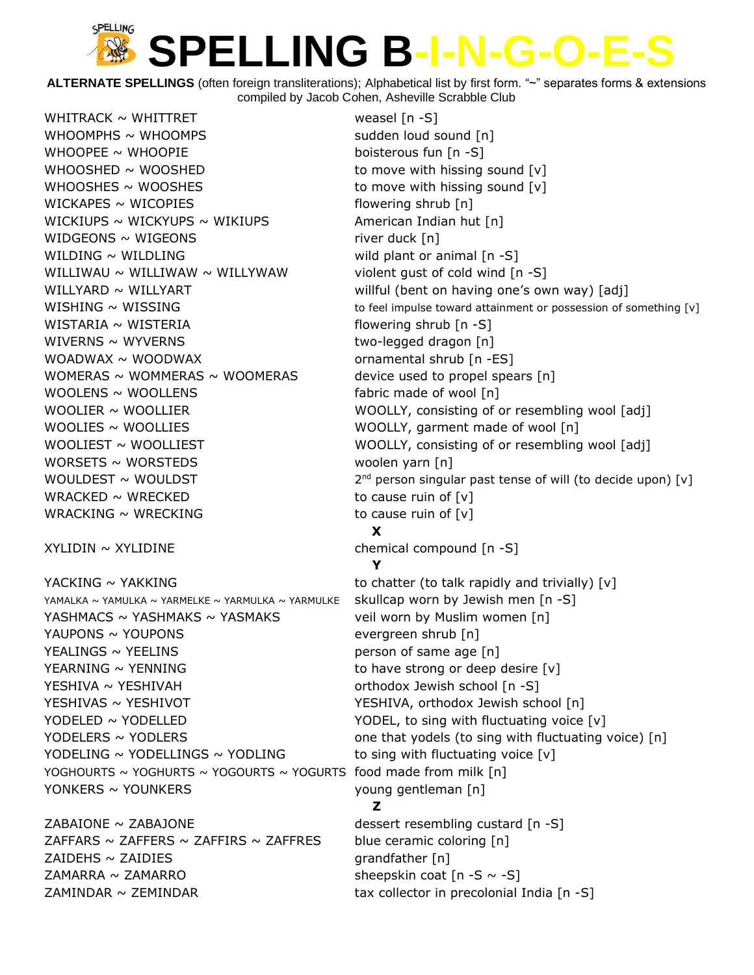## SPELLING **SPELLING B-I-N-G-O-E-S**

**ALTERNATE SPELLINGS** (often foreign transliterations); Alphabetical list by first form. "~" separates forms & extensions compiled by Jacob Cohen, Asheville Scrabble Club

WHITRACK  $\sim$  WHITTRET weasel  $[n -S]$  $WHOOMPHS \sim WHOOMPS$  sudden loud sound [n] WHOOPEE  $\sim$  WHOOPIE boisterous fun [n -S] WHOOSHED  $\sim$  WOOSHED to move with hissing sound  $[v]$ WHOOSHES  $\sim$  WOOSHES to move with hissing sound  $[v]$  $WICKAPES \sim WICOPIES$  flowering shrub [n] WICKIUPS  $\sim$  WICKYUPS  $\sim$  WIKIUPS  $\sim$  American Indian hut [n]  $WIDGEONS \sim WIGEONS$  river duck [n] WILDING  $\sim$  WILDLING  $\sim$  wild plant or animal [n -S] WILLIWAU  $\sim$  WILLIWAW  $\sim$  WILLYWAW violent gust of cold wind [n -S]  $WISTARIA \sim WISTERIA$  flowering shrub [n -S] WIVERNS ~ WYVERNS two-legged dragon [n] WOADWAX ~ WOODWAX ornamental shrub [n -ES] WOMERAS ~ WOMMERAS ~ WOOMERAS device used to propel spears  $[n]$  $WOOLENS \sim WOOLLENS$  fabric made of wool [n] WOOLIES ~ WOOLLIES WOOLLY, garment made of wool [n] WORSETS ~ WORSTEDS woolen yarn [n] WOULDEST  $\sim$  WOULDST WRACKED  $\sim$  WRECKED to cause ruin of [v] WRACKING  $\sim$  WRECKING to cause ruin of  $[v]$ XYLIDIN ~ XYLIDINE chemical compound [n -S] YACKING  $\sim$  YAKKING to chatter (to talk rapidly and trivially) [v] YAMALKA ~ YAMULKA ~ YARMELKE ~ YARMULKA ~ YARMULKE skullcap worn by Jewish men [n -S] YASHMACS  $\sim$  YASHMAKS  $\sim$  YASMAKS veil worn by Muslim women [n] YAUPONS ~ YOUPONS evergreen shrub [n]  $YEALINGS \sim YEELINGS$   $person of same age [n]$  $YEARNING \sim YENNING$  to have strong or deep desire  $[v]$ YESHIVA ~ YESHIVAH orthodox Jewish school [n -S] YESHIVAS ~ YESHIVOT YESHIVA, orthodox Jewish school [n] YODELED ~ YODELLED YODEL, to sing with fluctuating voice [v] YODELING ~ YODELLINGS ~ YODLING to sing with fluctuating voice  $[v]$ 

ZABAIONE ~ ZABAJONE dessert resembling custard [n -S] ZAFFARS  $\sim$  ZAFFERS  $\sim$  ZAFFIRS  $\sim$  ZAFFRES blue ceramic coloring [n]  $ZAIDEHS \sim ZAIDIES$  grandfather [n] ZAMARRA ~ ZAMARRO  $\sim$  2001 sheepskin coat  $[n - S \sim -S]$  $ZAMINDAR \sim ZEMINDAR$   $\qquad \qquad$  tax collector in precolonial India [n -S]

WILLYARD ~ WILLYART WILLYART willful (bent on having one's own way) [adj]  $WISHING \sim WISSING$  to feel impulse toward attainment or possession of something [v] WOOLIER  $\sim$  WOOLLIER WOOLLY, consisting of or resembling wool [adj] WOOLIEST  $\sim$  WOOLLIEST WOOLLY, consisting of or resembling wool [adj]  $2^{nd}$  person singular past tense of will (to decide upon) [v] **X Y** YODELERS  $\sim$  YODLERS  $\sim$  YODLERS  $\sim$  700  $\sim$  700  $\sim$  700  $\sim$  700  $\sim$  700  $\sim$  700  $\sim$  700  $\sim$  700  $\sim$  700  $\sim$  700  $\sim$  700  $\sim$  700  $\sim$  700  $\sim$  700  $\sim$  700  $\sim$  700  $\sim$  700  $\sim$  700  $\sim$  700  $\sim$  700  $\sim$  7 YOGHOURTS  $\sim$  YOGHURTS  $\sim$  YOGOURTS  $\sim$  YOGURTS food made from milk [n] YONKERS ~ YOUNKERS young gentleman [n] **Z**